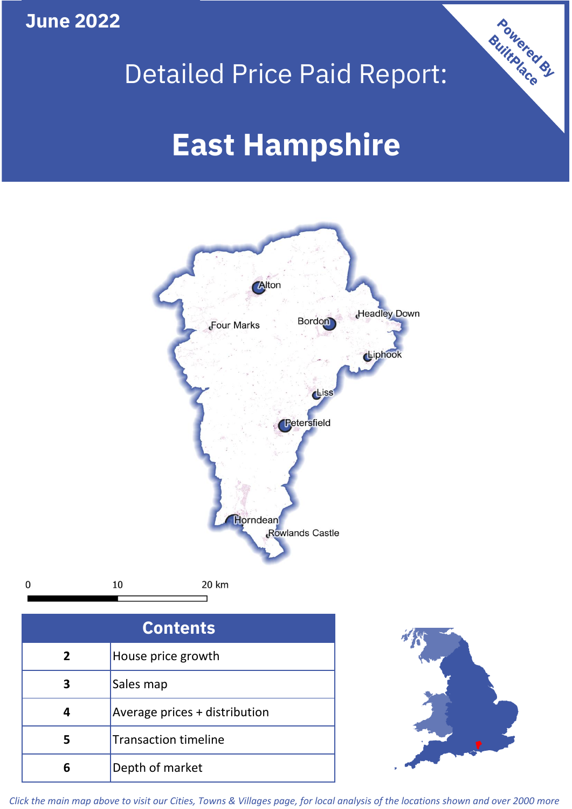**June 2022**

 $\mathbf 0$ 





| <b>Contents</b> |                               |  |  |
|-----------------|-------------------------------|--|--|
| $\overline{2}$  | House price growth            |  |  |
| 3               | Sales map                     |  |  |
| 4               | Average prices + distribution |  |  |
| 5               | <b>Transaction timeline</b>   |  |  |
|                 | Depth of market               |  |  |



*Click the main map above to visit our Cities, Towns & Villages page, for local analysis of the locations shown and over 2000 more*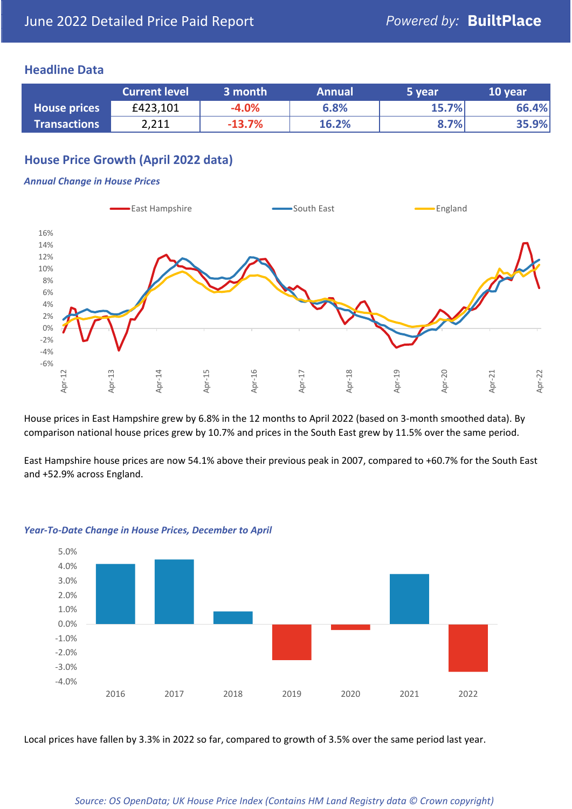## **Headline Data**

|                     | <b>Current level</b> | 3 month  | <b>Annual</b> | 5 year | 10 year |
|---------------------|----------------------|----------|---------------|--------|---------|
| <b>House prices</b> | £423,101             | $-4.0%$  | 6.8%          | 15.7%  | 66.4%   |
| <b>Transactions</b> | 2,211                | $-13.7%$ | 16.2%         | 8.7%   | 35.9%   |

# **House Price Growth (April 2022 data)**

#### *Annual Change in House Prices*



House prices in East Hampshire grew by 6.8% in the 12 months to April 2022 (based on 3-month smoothed data). By comparison national house prices grew by 10.7% and prices in the South East grew by 11.5% over the same period.

East Hampshire house prices are now 54.1% above their previous peak in 2007, compared to +60.7% for the South East and +52.9% across England.



#### *Year-To-Date Change in House Prices, December to April*

Local prices have fallen by 3.3% in 2022 so far, compared to growth of 3.5% over the same period last year.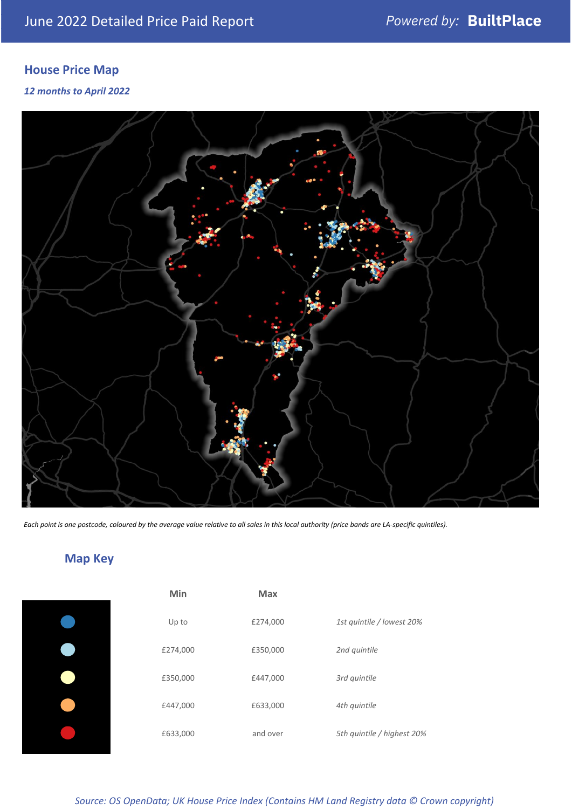# **House Price Map**

### *12 months to April 2022*



*Each point is one postcode, coloured by the average value relative to all sales in this local authority (price bands are LA-specific quintiles).*

# **Map Key**

| Min      | Max      |                            |
|----------|----------|----------------------------|
| Up to    | £274,000 | 1st quintile / lowest 20%  |
| £274,000 | £350,000 | 2nd quintile               |
| £350,000 | £447,000 | 3rd quintile               |
| £447,000 | £633,000 | 4th quintile               |
| £633,000 | and over | 5th quintile / highest 20% |

## *Source: OS OpenData; UK House Price Index (Contains HM Land Registry data © Crown copyright)*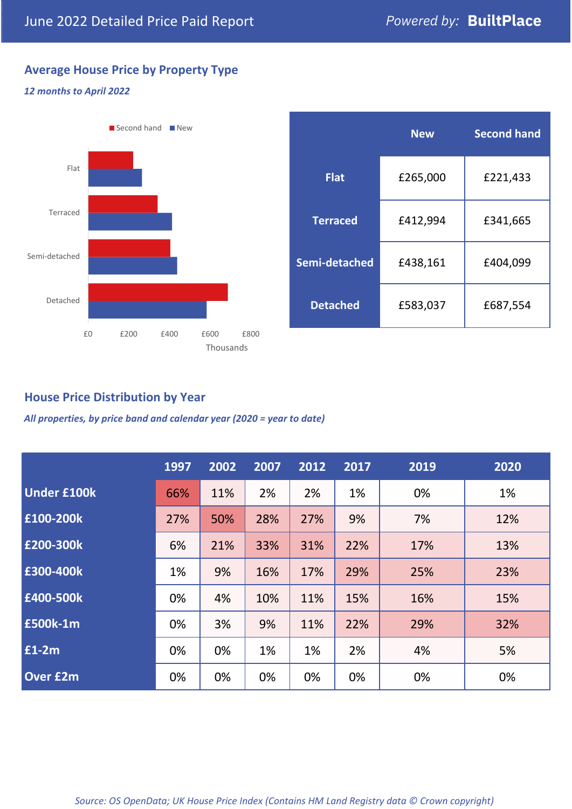# **Average House Price by Property Type**

### *12 months to April 2022*



|                 | <b>New</b> | <b>Second hand</b> |  |
|-----------------|------------|--------------------|--|
| <b>Flat</b>     | £265,000   | £221,433           |  |
| <b>Terraced</b> | £412,994   | £341,665           |  |
| Semi-detached   | £438,161   | £404,099           |  |
| <b>Detached</b> | £583,037   | £687,554           |  |

# **House Price Distribution by Year**

*All properties, by price band and calendar year (2020 = year to date)*

|                    | 1997 | 2002 | 2007 | 2012 | 2017 | 2019 | 2020 |
|--------------------|------|------|------|------|------|------|------|
| <b>Under £100k</b> | 66%  | 11%  | 2%   | 2%   | 1%   | 0%   | 1%   |
| £100-200k          | 27%  | 50%  | 28%  | 27%  | 9%   | 7%   | 12%  |
| E200-300k          | 6%   | 21%  | 33%  | 31%  | 22%  | 17%  | 13%  |
| £300-400k          | 1%   | 9%   | 16%  | 17%  | 29%  | 25%  | 23%  |
| £400-500k          | 0%   | 4%   | 10%  | 11%  | 15%  | 16%  | 15%  |
| £500k-1m           | 0%   | 3%   | 9%   | 11%  | 22%  | 29%  | 32%  |
| £1-2m              | 0%   | 0%   | 1%   | 1%   | 2%   | 4%   | 5%   |
| <b>Over £2m</b>    | 0%   | 0%   | 0%   | 0%   | 0%   | 0%   | 0%   |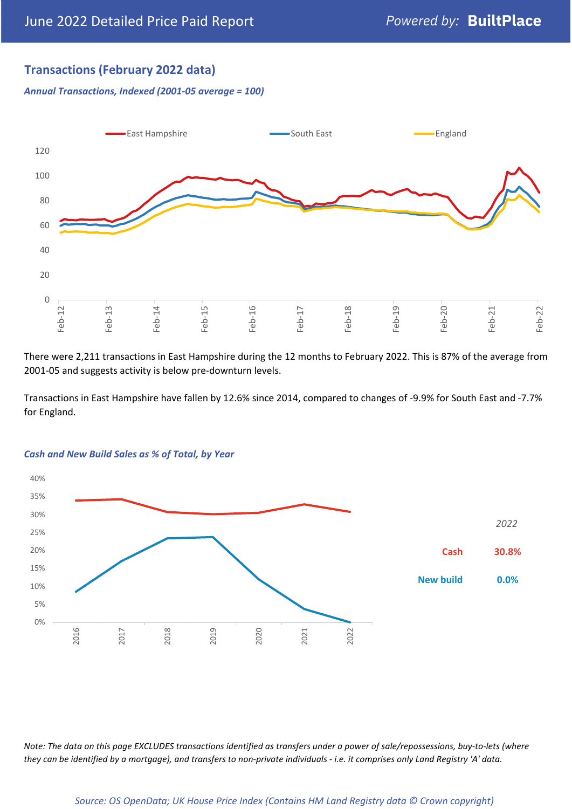# **Transactions (February 2022 data)**

*Annual Transactions, Indexed (2001-05 average = 100)*



There were 2,211 transactions in East Hampshire during the 12 months to February 2022. This is 87% of the average from 2001-05 and suggests activity is below pre-downturn levels.

Transactions in East Hampshire have fallen by 12.6% since 2014, compared to changes of -9.9% for South East and -7.7% for England.



#### *Cash and New Build Sales as % of Total, by Year*

*Note: The data on this page EXCLUDES transactions identified as transfers under a power of sale/repossessions, buy-to-lets (where they can be identified by a mortgage), and transfers to non-private individuals - i.e. it comprises only Land Registry 'A' data.*